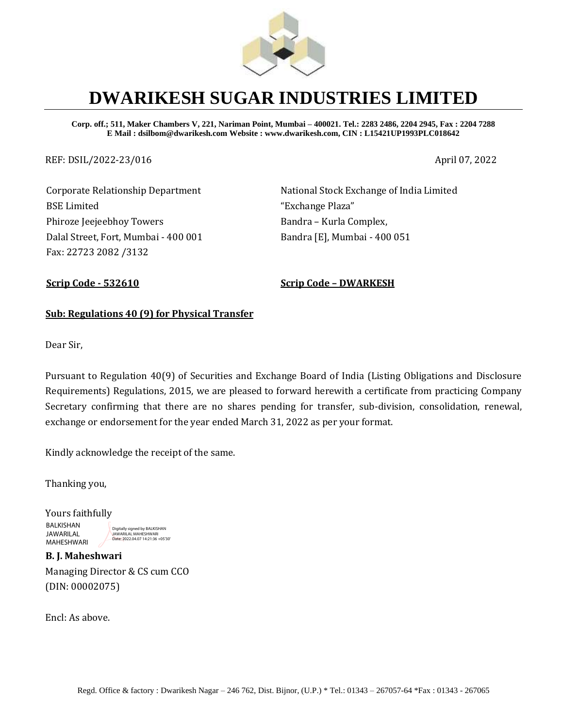

## **DWARIKESH SUGAR INDUSTRIES LIMITED**

**Corp. off.; 511, Maker Chambers V, 221, Nariman Point, Mumbai – 400021. Tel.: 2283 2486, 2204 2945, Fax : 2204 7288 E Mail : dsilbom@dwarikesh.com Website : www.dwarikesh.com, CIN : L15421UP1993PLC018642**

REF: DSIL/2022-23/016 April 07, 2022

Corporate Relationship Department BSE Limited Phiroze Jeejeebhoy Towers Dalal Street, Fort, Mumbai - 400 001 Fax: 22723 2082 /3132

National Stock Exchange of India Limited "Exchange Plaza" Bandra – Kurla Complex, Bandra [E], Mumbai - 400 051

**Scrip Code - 532610 Scrip Code – DWARKESH**

## **Sub: Regulations 40 (9) for Physical Transfer**

Dear Sir,

Pursuant to Regulation 40(9) of Securities and Exchange Board of India (Listing Obligations and Disclosure Requirements) Regulations, 2015, we are pleased to forward herewith a certificate from practicing Company Secretary confirming that there are no shares pending for transfer, sub-division, consolidation, renewal, exchange or endorsement for the year ended March 31, 2022 as per your format.

Kindly acknowledge the receipt of the same.

Thanking you,

Yours faithfully

BALKISHAN JAWARILAL MAHESHWARI Digitally signed by BALKISHAN<br>JAWARILAL MAHESHWARI<br>Date: 2022.04.07 14:21:36 +05'30'

**B. J. Maheshwari**  Managing Director & CS cum CCO (DIN: 00002075)

Encl: As above.